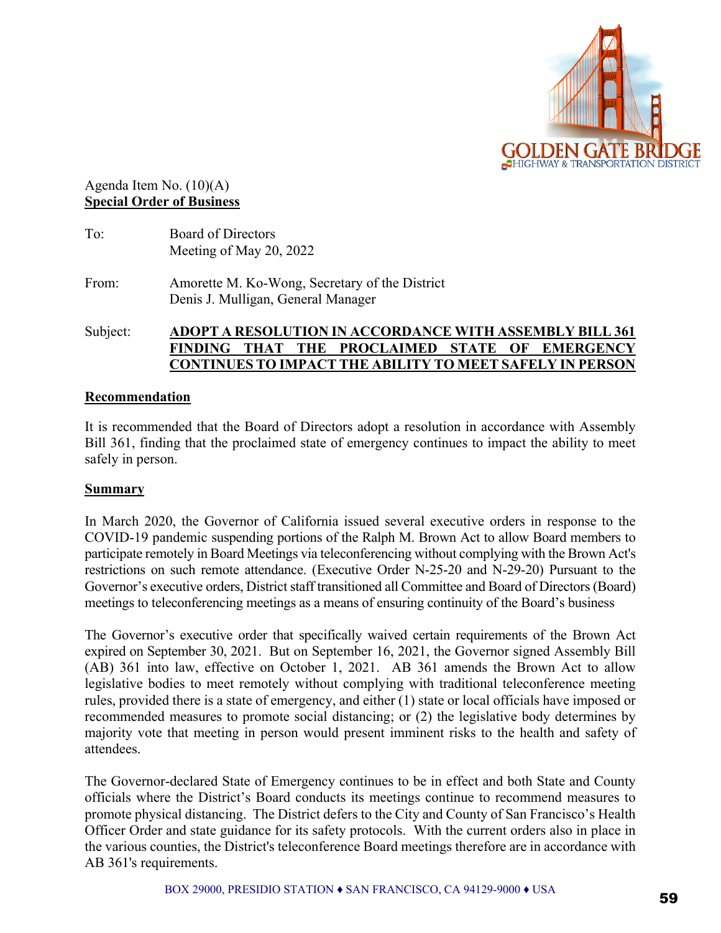

Agenda Item No. (10)(A) **Special Order of Business** 

| To:   | <b>Board of Directors</b><br>Meeting of May 20, 2022                                 |
|-------|--------------------------------------------------------------------------------------|
| From: | Amorette M. Ko-Wong, Secretary of the District<br>Denis J. Mulligan, General Manager |

Subject: **ADOPT A RESOLUTION IN ACCORDANCE WITH ASSEMBLY BILL 361 FINDING THAT THE PROCLAIMED STATE OF EMERGENCY CONTINUES TO IMPACT THE ABILITY TO MEET SAFELY IN PERSON** 

## **Recommendation**

It is recommended that the Board of Directors adopt a resolution in accordance with Assembly Bill 361, finding that the proclaimed state of emergency continues to impact the ability to meet safely in person.

## **Summary**

In March 2020, the Governor of California issued several executive orders in response to the COVID-19 pandemic suspending portions of the Ralph M. Brown Act to allow Board members to participate remotely in Board Meetings via teleconferencing without complying with the Brown Act's restrictions on such remote attendance. (Executive Order N-25-20 and N-29-20) Pursuant to the Governor's executive orders, District staff transitioned all Committee and Board of Directors (Board) meetings to teleconferencing meetings as a means of ensuring continuity of the Board's business

The Governor's executive order that specifically waived certain requirements of the Brown Act expired on September 30, 2021. But on September 16, 2021, the Governor signed Assembly Bill (AB) 361 into law, effective on October 1, 2021. AB 361 amends the Brown Act to allow legislative bodies to meet remotely without complying with traditional teleconference meeting rules, provided there is a state of emergency, and either (1) state or local officials have imposed or recommended measures to promote social distancing; or (2) the legislative body determines by majority vote that meeting in person would present imminent risks to the health and safety of attendees.

The Governor-declared State of Emergency continues to be in effect and both State and County officials where the District's Board conducts its meetings continue to recommend measures to promote physical distancing. The District defers to the City and County of San Francisco's Health Officer Order and state guidance for its safety protocols. With the current orders also in place in the various counties, the District's teleconference Board meetings therefore are in accordance with AB 361's requirements.